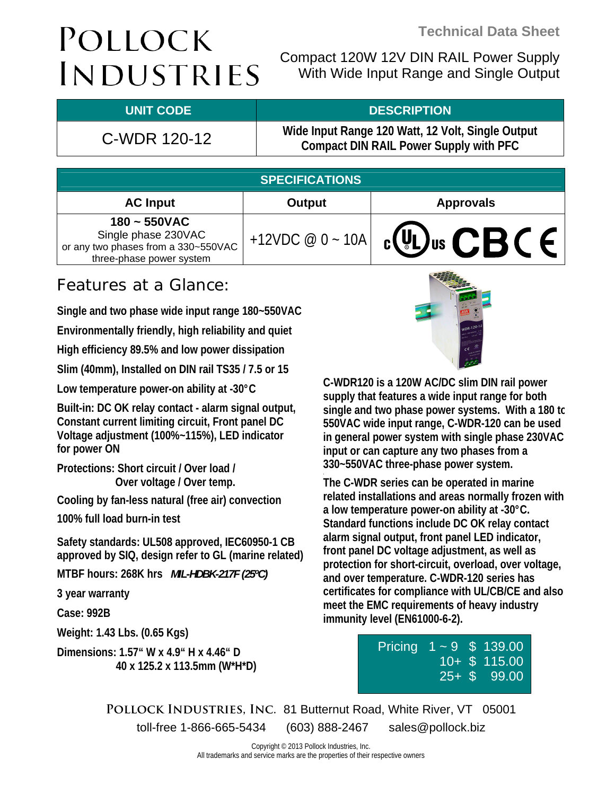Compact 120W 12V DIN RAIL Power Supply With Wide Input Range and Single Output

### **UNIT CODE DESCRIPTION**

### C-WDR 120-12 **Wide Input Range 120 Watt, 12 Volt, Single Output Compact DIN RAIL Power Supply with PFC**

| <b>SPECIFICATIONS</b>                                                                                     |                   |                                |  |  |  |  |
|-----------------------------------------------------------------------------------------------------------|-------------------|--------------------------------|--|--|--|--|
| <b>AC Input</b>                                                                                           | Output            | <b>Approvals</b>               |  |  |  |  |
| $180 - 550$ VAC<br>Single phase 230VAC<br>or any two phases from a 330~550VAC<br>three-phase power system | +12VDC $@0 - 10A$ | $_{c}$ (VL) <sub>us</sub> CBCE |  |  |  |  |
|                                                                                                           |                   |                                |  |  |  |  |

## Features at a Glance:

**Single and two phase wide input range 180~550VAC** 

**Environmentally friendly, high reliability and quiet** 

**High efficiency 89.5% and low power dissipation** 

**Slim (40mm), Installed on DIN rail TS35 / 7.5 or 15** 

**Low temperature power-on ability at -30°C** 

**Built-in: DC OK relay contact - alarm signal output, Constant current limiting circuit, Front panel DC Voltage adjustment (100%~115%), LED indicator for power ON** 

**Protections: Short circuit / Over load / Over voltage / Over temp.** 

**Cooling by fan-less natural (free air) convection** 

**100% full load burn-in test** 

**Safety standards: UL508 approved, IEC60950-1 CB approved by SIQ, design refer to GL (marine related)** 

**MTBF hours: 268K hrs** *MIL-HDBK-217F (25ºC)*

**3 year warranty** 

**Case: 992B** 

**Weight: 1.43 Lbs. (0.65 Kgs)** 

**Dimensions: 1.57" W x 4.9" H x 4.46" D 40 x 125.2 x 113.5mm (W\*H\*D)** 



**C-WDR120 is a 120W AC/DC slim DIN rail power supply that features a wide input range for both single and two phase power systems. With a 180 to 550VAC wide input range, C-WDR-120 can be used in general power system with single phase 230VAC input or can capture any two phases from a 330~550VAC three-phase power system.** 

**The C-WDR series can be operated in marine related installations and areas normally frozen with a low temperature power-on ability at -30°C. Standard functions include DC OK relay contact alarm signal output, front panel LED indicator, front panel DC voltage adjustment, as well as protection for short-circuit, overload, over voltage, and over temperature. C-WDR-120 series has certificates for compliance with UL/CB/CE and also meet the EMC requirements of heavy industry immunity level (EN61000-6-2).** 

| Pricing $1 - 9$ \$ 139.00 |  |                  |
|---------------------------|--|------------------|
|                           |  | $10 +$ \$ 115.00 |
|                           |  | $25 +$ \$ 99.00  |

**Pollock Industries, Inc.** 81 Butternut Road, White River, VT 05001 toll-free 1-866-665-5434 (603) 888-2467 sales@pollock.biz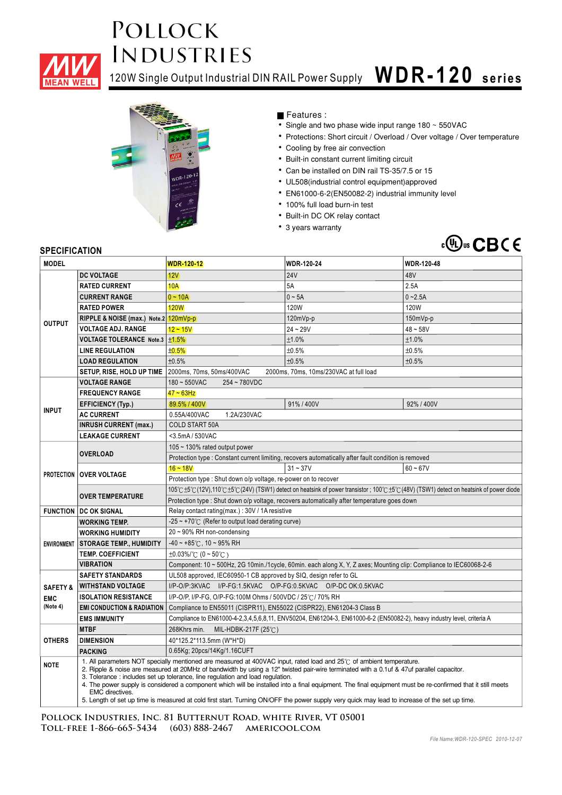

120W Single Output Industrial DIN RAIL Power Supply **W DR- 1 20 series**



Features :

- Single and two phase wide input range 180 ~ 550VAC
- Protections: Short circuit / Overload / Over voltage / Over temperature
- Cooling by free air convection
- Built-in constant current limiting circuit
- Can be installed on DIN rail TS-35/7.5 or 15
- UL508(industrial control equipment)approved
- EN61000-6-2(EN50082-2) industrial immunity level
- 100% full load burn-in test
- Built-in DC OK relay contact
- 3 years warranty



### **SPECIFICATION**

| <b>MODEL</b>        |                                                                                                                                                                                                                                                                                                                                                                                                                                                                                                                | <b>WDR-120-12</b>                                                                                                                             | <b>WDR-120-24</b> | <b>WDR-120-48</b> |  |  |
|---------------------|----------------------------------------------------------------------------------------------------------------------------------------------------------------------------------------------------------------------------------------------------------------------------------------------------------------------------------------------------------------------------------------------------------------------------------------------------------------------------------------------------------------|-----------------------------------------------------------------------------------------------------------------------------------------------|-------------------|-------------------|--|--|
|                     | DC VOLTAGE                                                                                                                                                                                                                                                                                                                                                                                                                                                                                                     | 12V                                                                                                                                           | <b>24V</b>        | 48V               |  |  |
|                     | <b>RATED CURRENT</b>                                                                                                                                                                                                                                                                                                                                                                                                                                                                                           | <b>10A</b>                                                                                                                                    | 5A                | 2.5A              |  |  |
|                     | <b>CURRENT RANGE</b>                                                                                                                                                                                                                                                                                                                                                                                                                                                                                           | $0 - 10A$                                                                                                                                     | $0 \sim 5A$       | $0 - 2.5A$        |  |  |
|                     | <b>RATED POWER</b>                                                                                                                                                                                                                                                                                                                                                                                                                                                                                             | <b>120W</b>                                                                                                                                   | <b>120W</b>       | 120W              |  |  |
|                     | RIPPLE & NOISE (max.) Note.2 120mVp-p                                                                                                                                                                                                                                                                                                                                                                                                                                                                          |                                                                                                                                               | 120mVp-p          | 150mVp-p          |  |  |
| <b>OUTPUT</b>       | <b>VOLTAGE ADJ. RANGE</b>                                                                                                                                                                                                                                                                                                                                                                                                                                                                                      | $12 - 15V$                                                                                                                                    | $24 - 29V$        | $48 - 58V$        |  |  |
|                     | VOLTAGE TOLERANCE Note.3   ±1.5%                                                                                                                                                                                                                                                                                                                                                                                                                                                                               |                                                                                                                                               | ±1.0%             | ±1.0%             |  |  |
|                     | <b>LINE REGULATION</b>                                                                                                                                                                                                                                                                                                                                                                                                                                                                                         | ±0.5%                                                                                                                                         | ±0.5%             | ±0.5%             |  |  |
|                     | <b>LOAD REGULATION</b>                                                                                                                                                                                                                                                                                                                                                                                                                                                                                         | ±0.5%                                                                                                                                         | ±0.5%             | ±0.5%             |  |  |
|                     | SETUP, RISE, HOLD UP TIME                                                                                                                                                                                                                                                                                                                                                                                                                                                                                      | 2000ms, 70ms, 50ms/400VAC<br>2000ms, 70ms, 10ms/230VAC at full load                                                                           |                   |                   |  |  |
|                     | <b>VOLTAGE RANGE</b>                                                                                                                                                                                                                                                                                                                                                                                                                                                                                           | $180 - 550$ VAC<br>254~780VDC                                                                                                                 |                   |                   |  |  |
|                     | <b>FREQUENCY RANGE</b>                                                                                                                                                                                                                                                                                                                                                                                                                                                                                         | 47~63Hz                                                                                                                                       |                   |                   |  |  |
|                     | <b>EFFICIENCY (Typ.)</b>                                                                                                                                                                                                                                                                                                                                                                                                                                                                                       | 89.5% / 400V                                                                                                                                  | 91% / 400V        | 92%/400V          |  |  |
| <b>INPUT</b>        | <b>AC CURRENT</b>                                                                                                                                                                                                                                                                                                                                                                                                                                                                                              | 0.55A/400VAC<br>1.2A/230VAC                                                                                                                   |                   |                   |  |  |
|                     | <b>INRUSH CURRENT (max.)</b>                                                                                                                                                                                                                                                                                                                                                                                                                                                                                   | <b>COLD START 50A</b>                                                                                                                         |                   |                   |  |  |
|                     | <b>LEAKAGE CURRENT</b>                                                                                                                                                                                                                                                                                                                                                                                                                                                                                         | <3.5mA / 530VAC                                                                                                                               |                   |                   |  |  |
|                     |                                                                                                                                                                                                                                                                                                                                                                                                                                                                                                                | 105 $\sim$ 130% rated output power                                                                                                            |                   |                   |  |  |
|                     | <b>OVERLOAD</b>                                                                                                                                                                                                                                                                                                                                                                                                                                                                                                | Protection type : Constant current limiting, recovers automatically after fault condition is removed                                          |                   |                   |  |  |
|                     |                                                                                                                                                                                                                                                                                                                                                                                                                                                                                                                | $16 - 18V$                                                                                                                                    | $31 - 37V$        | $60 - 67V$        |  |  |
|                     | <b>PROTECTION OVER VOLTAGE</b>                                                                                                                                                                                                                                                                                                                                                                                                                                                                                 | Protection type : Shut down o/p voltage, re-power on to recover                                                                               |                   |                   |  |  |
|                     | <b>OVER TEMPERATURE</b>                                                                                                                                                                                                                                                                                                                                                                                                                                                                                        | 105°C±5°C (12V),110°C±5°C (24V) (TSW1) detect on heatsink of power transistor ; 100°C±5°C (48V) (TSW1) detect on heatsink of power diode      |                   |                   |  |  |
|                     |                                                                                                                                                                                                                                                                                                                                                                                                                                                                                                                | Protection type : Shut down o/p voltage, recovers automatically after temperature goes down                                                   |                   |                   |  |  |
|                     | <b>FUNCTION DC OK SIGNAL</b>                                                                                                                                                                                                                                                                                                                                                                                                                                                                                   | Relay contact rating(max.): 30V / 1A resistive                                                                                                |                   |                   |  |  |
|                     | $-25 \sim +70^{\circ}$ (Refer to output load derating curve)<br><b>WORKING TEMP.</b>                                                                                                                                                                                                                                                                                                                                                                                                                           |                                                                                                                                               |                   |                   |  |  |
|                     | <b>WORKING HUMIDITY</b>                                                                                                                                                                                                                                                                                                                                                                                                                                                                                        | 20~90% RH non-condensing                                                                                                                      |                   |                   |  |  |
|                     | ENVIRONMENT STORAGE TEMP., HUMIDITY                                                                                                                                                                                                                                                                                                                                                                                                                                                                            | $-40 \sim +85^{\circ}$ C, 10 ~ 95% RH                                                                                                         |                   |                   |  |  |
|                     | <b>TEMP. COEFFICIENT</b>                                                                                                                                                                                                                                                                                                                                                                                                                                                                                       | $\pm 0.03\%$ (0 ~ 50°C)                                                                                                                       |                   |                   |  |  |
|                     | <b>VIBRATION</b>                                                                                                                                                                                                                                                                                                                                                                                                                                                                                               | Component: 10 ~ 500Hz, 2G 10min./1cycle, 60min. each along X, Y, Z axes; Mounting clip: Compliance to IEC60068-2-6                            |                   |                   |  |  |
|                     | <b>SAFETY STANDARDS</b><br>UL508 approved, IEC60950-1 CB approved by SIQ, design refer to GL                                                                                                                                                                                                                                                                                                                                                                                                                   |                                                                                                                                               |                   |                   |  |  |
| <b>SAFETY &amp;</b> | <b>WITHSTAND VOLTAGE</b>                                                                                                                                                                                                                                                                                                                                                                                                                                                                                       | I/P-O/P:3KVAC I/P-FG:1.5KVAC O/P-FG:0.5KVAC O/P-DCOK:0.5KVAC                                                                                  |                   |                   |  |  |
| <b>EMC</b>          | <b>ISOLATION RESISTANCE</b><br>I/P-O/P. I/P-FG. O/P-FG:100M Ohms / 500VDC / 25℃/ 70% RH                                                                                                                                                                                                                                                                                                                                                                                                                        |                                                                                                                                               |                   |                   |  |  |
| (Note 4)            | <b>EMI CONDUCTION &amp; RADIATION</b>                                                                                                                                                                                                                                                                                                                                                                                                                                                                          | Compliance to EN55011 (CISPR11), EN55022 (CISPR22), EN61204-3 Class B                                                                         |                   |                   |  |  |
|                     | <b>EMS IMMUNITY</b>                                                                                                                                                                                                                                                                                                                                                                                                                                                                                            | Compliance to EN61000-4-2,3,4,5,6,8,11, ENV50204, EN61204-3, EN61000-6-2 (EN50082-2), heavy industry level, criteria A                        |                   |                   |  |  |
|                     | <b>MTBF</b>                                                                                                                                                                                                                                                                                                                                                                                                                                                                                                    | 268Khrs min.<br>MIL-HDBK-217F (25 $°C$ )                                                                                                      |                   |                   |  |  |
| <b>OTHERS</b>       | <b>DIMENSION</b>                                                                                                                                                                                                                                                                                                                                                                                                                                                                                               | 40*125.2*113.5mm (W*H*D)                                                                                                                      |                   |                   |  |  |
|                     | <b>PACKING</b>                                                                                                                                                                                                                                                                                                                                                                                                                                                                                                 | 0.65Kg; 20pcs/14Kg/1.16CUFT                                                                                                                   |                   |                   |  |  |
| <b>NOTE</b>         | 1. All parameters NOT specially mentioned are measured at 400VAC input, rated load and 25°C of ambient temperature.<br>2. Ripple & noise are measured at 20MHz of bandwidth by using a 12" twisted pair-wire terminated with a 0.1uf & 47uf parallel capacitor.<br>3. Tolerance: includes set up tolerance, line regulation and load regulation.<br>4. The power supply is considered a component which will be installed into a final equipment. The final equipment must be re-confirmed that it still meets |                                                                                                                                               |                   |                   |  |  |
|                     | <b>EMC</b> directives.                                                                                                                                                                                                                                                                                                                                                                                                                                                                                         | 5. Length of set up time is measured at cold first start. Turning ON/OFF the power supply very quick may lead to increase of the set up time. |                   |                   |  |  |

**Pollock Industries, Inc. 81 Butternut Road, white River, VT 05001 Toll-free 1-866-665-5434 (603) 888-2467 americool.com**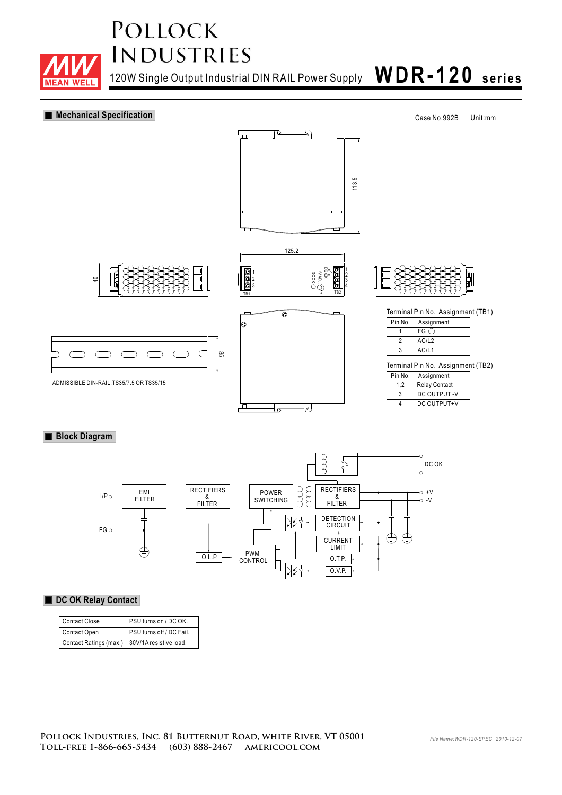

120W Single Output Industrial DIN RAIL Power Supply **WDR-1 20 series**